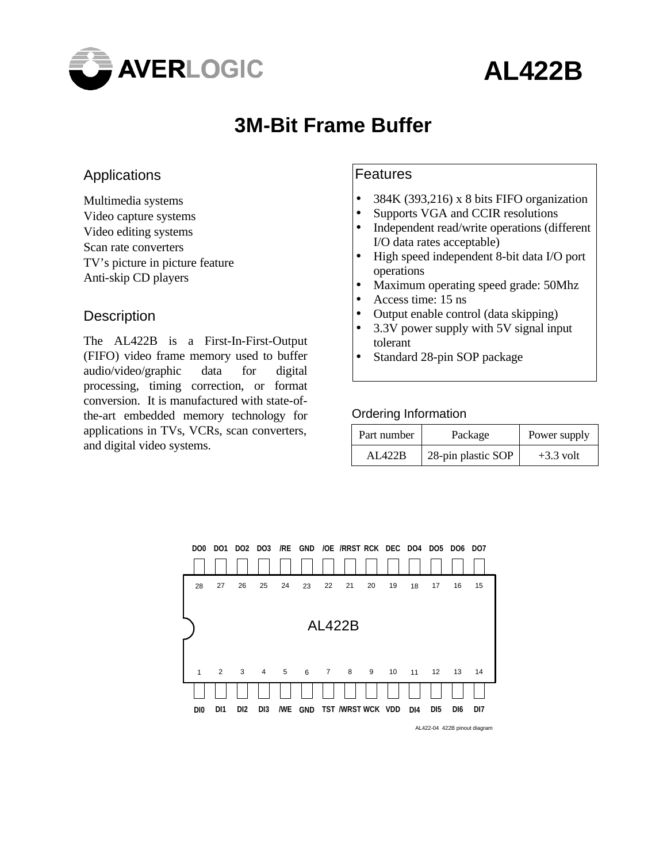

# **AL422B**

## **3M-Bit Frame Buffer**

### Applications

Multimedia systems Video capture systems Video editing systems Scan rate converters TV's picture in picture feature Anti-skip CD players

#### **Description**

The AL422B is a First-In-First-Output (FIFO) video frame memory used to buffer audio/video/graphic data for digital processing, timing correction, or format conversion. It is manufactured with state-ofthe-art embedded memory technology for applications in TVs, VCRs, scan converters, and digital video systems.

#### Features

- 384K (393,216) x 8 bits FIFO organization
- Supports VGA and CCIR resolutions
- Independent read/write operations (different I/O data rates acceptable)
- High speed independent 8-bit data I/O port operations
- Maximum operating speed grade: 50Mhz
- Access time: 15 ns
- Output enable control (data skipping)
- 3.3V power supply with 5V signal input tolerant
- Standard 28-pin SOP package

#### Ordering Information

| Part number | Package            | Power supply |
|-------------|--------------------|--------------|
| AL422B      | 28-pin plastic SOP | $+3.3$ volt  |



AL422-04 422B pinout diagram